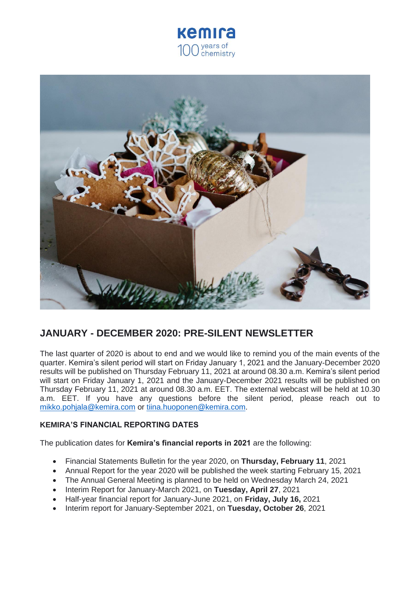



# **JANUARY - DECEMBER 2020: PRE-SILENT NEWSLETTER**

The last quarter of 2020 is about to end and we would like to remind you of the main events of the quarter. Kemira's silent period will start on Friday January 1, 2021 and the January-December 2020 results will be published on Thursday February 11, 2021 at around 08.30 a.m. Kemira's silent period will start on Friday January 1, 2021 and the January-December 2021 results will be published on Thursday February 11, 2021 at around 08.30 a.m. EET. The external webcast will be held at 10.30 a.m. EET. If you have any questions before the silent period, please reach out to [mikko.pohjala@kemira.com](mailto:mikko.pohjala@kemira.com) or [tiina.huoponen@kemira.com.](mailto:tiina.huoponen@kemira.com)

## **KEMIRA'S FINANCIAL REPORTING DATES**

The publication dates for **Kemira's financial reports in 2021** are the following:

- Financial Statements Bulletin for the year 2020, on **Thursday, February 11**, 2021
- Annual Report for the year 2020 will be published the week starting February 15, 2021
- The Annual General Meeting is planned to be held on Wednesday March 24, 2021
- Interim Report for January-March 2021, on **Tuesday, April 27**, 2021
- Half-year financial report for January-June 2021, on **Friday, July 16,** 2021
- Interim report for January-September 2021, on **Tuesday, October 26**, 2021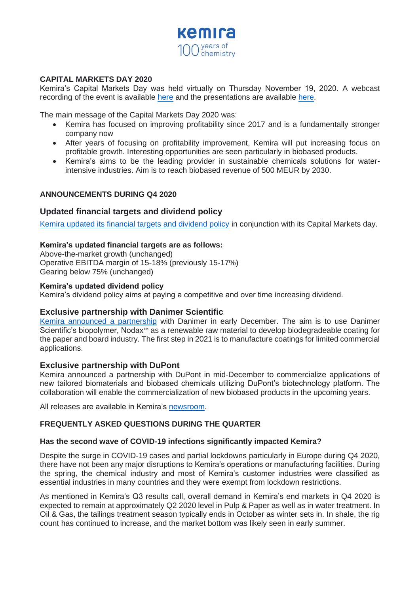

## **CAPITAL MARKETS DAY 2020**

Kemira's Capital Markets Day was held virtually on Thursday November 19, 2020. A webcast recording of the event is available [here](https://kemira.videosync.fi/capital-markets-day-2020/register) and the presentations are available [here.](https://media.kemira.com/kemiradata/2020/11/Kemira-CMD-2020-presentation-web.pdf)

The main message of the Capital Markets Day 2020 was:

- Kemira has focused on improving profitability since 2017 and is a fundamentally stronger company now
- After years of focusing on profitability improvement, Kemira will put increasing focus on profitable growth. Interesting opportunities are seen particularly in biobased products.
- Kemira's aims to be the leading provider in sustainable chemicals solutions for waterintensive industries. Aim is to reach biobased revenue of 500 MEUR by 2030.

## **ANNOUNCEMENTS DURING Q4 2020**

## **Updated financial targets and dividend policy**

[Kemira updated its financial targets and dividend policy](https://www.kemira.com/company/media/newsroom/releases/kemira-updates-its-financial-targets-and-dividend-policy/) in conjunction with its Capital Markets day.

#### **Kemira's updated financial targets are as follows:**

Above-the-market growth (unchanged) Operative EBITDA margin of 15-18% (previously 15-17%) Gearing below 75% (unchanged)

#### **Kemira's updated dividend policy**

Kemira's dividend policy aims at paying a competitive and over time increasing dividend.

## **Exclusive partnership with Danimer Scientific**

[Kemira announced a partnership](https://www.kemira.com/company/media/newsroom/releases/kemira-announces-exclusive-partnership-with-danimer-scientific-to-develop-biodegradable-coating-for-paper-and-board-industry/) with Danimer in early December. The aim is to use Danimer Scientific's biopolymer, Nodax™ as a renewable raw material to develop biodegradeable coating for the paper and board industry. The first step in 2021 is to manufacture coatings for limited commercial applications.

## **Exclusive partnership with DuPont**

Kemira announced a partnership with DuPont in mid-December to commercialize applications of new tailored biomaterials and biobased chemicals utilizing DuPont's biotechnology platform. The collaboration will enable the commercialization of new biobased products in the upcoming years.

All releases are available in Kemira's [newsroom.](https://www.kemira.com/company/media/newsroom/releases/kemira-announces-long-term-polymer-supply-agreement-extension-with-ithaca-energy/)

## **FREQUENTLY ASKED QUESTIONS DURING THE QUARTER**

#### **Has the second wave of COVID-19 infections significantly impacted Kemira?**

Despite the surge in COVID-19 cases and partial lockdowns particularly in Europe during Q4 2020, there have not been any major disruptions to Kemira's operations or manufacturing facilities. During the spring, the chemical industry and most of Kemira's customer industries were classified as essential industries in many countries and they were exempt from lockdown restrictions.

As mentioned in Kemira's Q3 results call, overall demand in Kemira's end markets in Q4 2020 is expected to remain at approximately Q2 2020 level in Pulp & Paper as well as in water treatment. In Oil & Gas, the tailings treatment season typically ends in October as winter sets in. In shale, the rig count has continued to increase, and the market bottom was likely seen in early summer.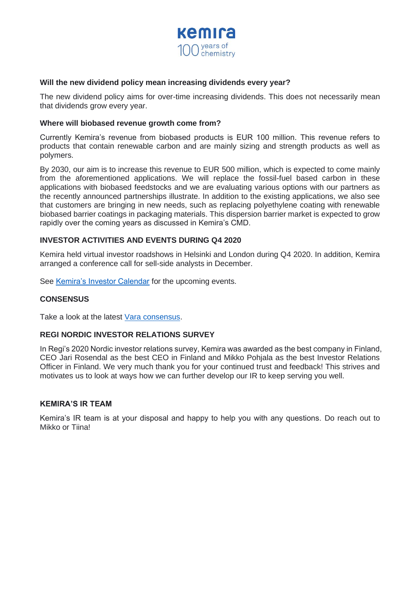

#### **Will the new dividend policy mean increasing dividends every year?**

The new dividend policy aims for over-time increasing dividends. This does not necessarily mean that dividends grow every year.

#### **Where will biobased revenue growth come from?**

Currently Kemira's revenue from biobased products is EUR 100 million. This revenue refers to products that contain renewable carbon and are mainly sizing and strength products as well as polymers.

By 2030, our aim is to increase this revenue to EUR 500 million, which is expected to come mainly from the aforementioned applications. We will replace the fossil-fuel based carbon in these applications with biobased feedstocks and we are evaluating various options with our partners as the recently announced partnerships illustrate. In addition to the existing applications, we also see that customers are bringing in new needs, such as replacing polyethylene coating with renewable biobased barrier coatings in packaging materials. This dispersion barrier market is expected to grow rapidly over the coming years as discussed in Kemira's CMD.

## **INVESTOR ACTIVITIES AND EVENTS DURING Q4 2020**

Kemira held virtual investor roadshows in Helsinki and London during Q4 2020. In addition, Kemira arranged a conference call for sell-side analysts in December.

See [Kemira's Investor Calendar](https://www.kemira.com/company/investors/investor-calendar/) for the upcoming events.

#### **CONSENSUS**

Take a look at the latest [Vara consensus.](https://www.kemira.com/company/investors/share-information/consensus-estimates/)

#### **REGI NORDIC INVESTOR RELATIONS SURVEY**

In Regi's 2020 Nordic investor relations survey, Kemira was awarded as the best company in Finland, CEO Jari Rosendal as the best CEO in Finland and Mikko Pohjala as the best Investor Relations Officer in Finland. We very much thank you for your continued trust and feedback! This strives and motivates us to look at ways how we can further develop our IR to keep serving you well.

#### **KEMIRA'S IR TEAM**

Kemira's IR team is at your disposal and happy to help you with any questions. Do reach out to Mikko or Tiina!